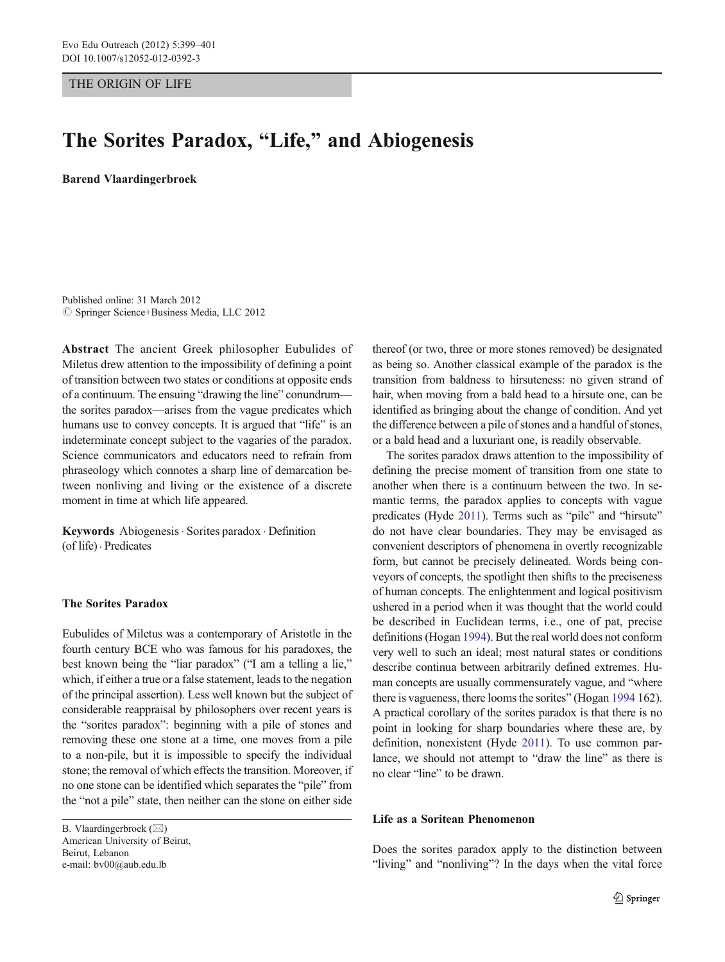THE ORIGIN OF LIFE

# The Sorites Paradox, "Life," and Abiogenesis

Barend Vlaardingerbroek

Published online: 31 March 2012  $©$  Springer Science+Business Media, LLC 2012

Abstract The ancient Greek philosopher Eubulides of Miletus drew attention to the impossibility of defining a point of transition between two states or conditions at opposite ends of a continuum. The ensuing "drawing the line" conundrum the sorites paradox—arises from the vague predicates which humans use to convey concepts. It is argued that "life" is an indeterminate concept subject to the vagaries of the paradox. Science communicators and educators need to refrain from phraseology which connotes a sharp line of demarcation between nonliving and living or the existence of a discrete moment in time at which life appeared.

Keywords Abiogenesis. Sorites paradox . Definition (of life) . Predicates

## The Sorites Paradox

Eubulides of Miletus was a contemporary of Aristotle in the fourth century BCE who was famous for his paradoxes, the best known being the "liar paradox" ("I am a telling a lie," which, if either a true or a false statement, leads to the negation of the principal assertion). Less well known but the subject of considerable reappraisal by philosophers over recent years is the "sorites paradox": beginning with a pile of stones and removing these one stone at a time, one moves from a pile to a non-pile, but it is impossible to specify the individual stone; the removal of which effects the transition. Moreover, if no one stone can be identified which separates the "pile" from the "not a pile" state, then neither can the stone on either side

B. Vlaardingerbroek  $(\boxtimes)$ American University of Beirut, Beirut, Lebanon e-mail: bv00@aub.edu.lb

thereof (or two, three or more stones removed) be designated as being so. Another classical example of the paradox is the transition from baldness to hirsuteness: no given strand of hair, when moving from a bald head to a hirsute one, can be identified as bringing about the change of condition. And yet the difference between a pile of stones and a handful of stones, or a bald head and a luxuriant one, is readily observable.

The sorites paradox draws attention to the impossibility of defining the precise moment of transition from one state to another when there is a continuum between the two. In semantic terms, the paradox applies to concepts with vague predicates (Hyde [2011\)](#page-2-0). Terms such as "pile" and "hirsute" do not have clear boundaries. They may be envisaged as convenient descriptors of phenomena in overtly recognizable form, but cannot be precisely delineated. Words being conveyors of concepts, the spotlight then shifts to the preciseness of human concepts. The enlightenment and logical positivism ushered in a period when it was thought that the world could be described in Euclidean terms, i.e., one of pat, precise definitions (Hogan [1994\)](#page-2-0). But the real world does not conform very well to such an ideal; most natural states or conditions describe continua between arbitrarily defined extremes. Human concepts are usually commensurately vague, and "where there is vagueness, there looms the sorites" (Hogan [1994](#page-2-0) 162). A practical corollary of the sorites paradox is that there is no point in looking for sharp boundaries where these are, by definition, nonexistent (Hyde [2011](#page-2-0)). To use common parlance, we should not attempt to "draw the line" as there is no clear "line" to be drawn.

## Life as a Soritean Phenomenon

Does the sorites paradox apply to the distinction between "living" and "nonliving"? In the days when the vital force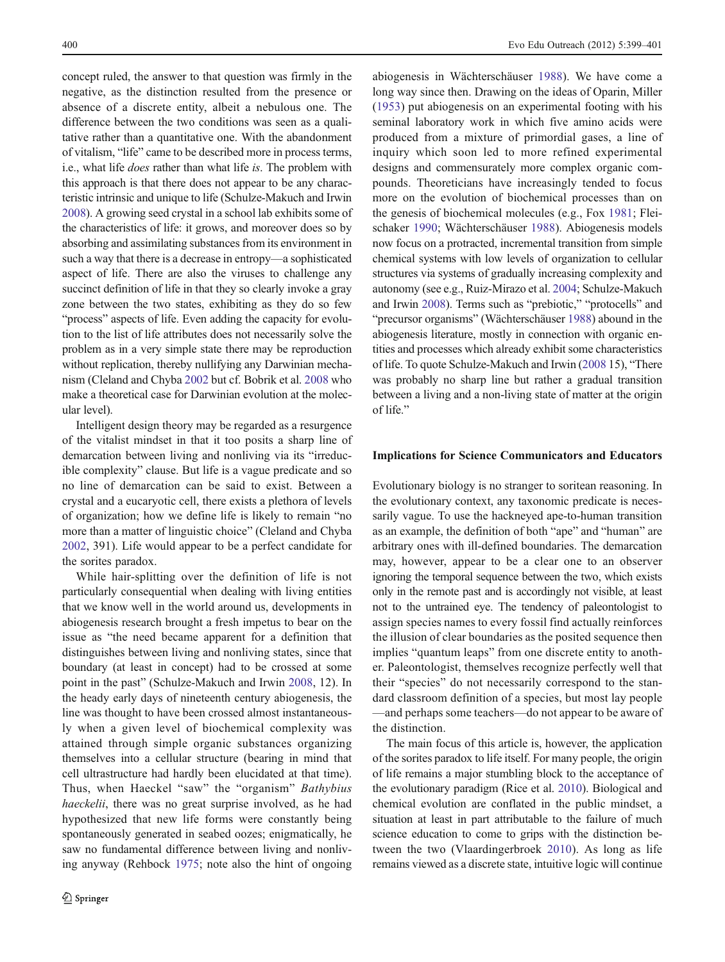concept ruled, the answer to that question was firmly in the negative, as the distinction resulted from the presence or absence of a discrete entity, albeit a nebulous one. The difference between the two conditions was seen as a qualitative rather than a quantitative one. With the abandonment of vitalism, "life" came to be described more in process terms, i.e., what life does rather than what life is. The problem with this approach is that there does not appear to be any characteristic intrinsic and unique to life (Schulze-Makuch and Irwin [2008\)](#page-2-0). A growing seed crystal in a school lab exhibits some of the characteristics of life: it grows, and moreover does so by absorbing and assimilating substances from its environment in such a way that there is a decrease in entropy—a sophisticated aspect of life. There are also the viruses to challenge any succinct definition of life in that they so clearly invoke a gray zone between the two states, exhibiting as they do so few "process" aspects of life. Even adding the capacity for evolution to the list of life attributes does not necessarily solve the problem as in a very simple state there may be reproduction without replication, thereby nullifying any Darwinian mechanism (Cleland and Chyba [2002](#page-2-0) but cf. Bobrik et al. [2008](#page-2-0) who make a theoretical case for Darwinian evolution at the molecular level).

Intelligent design theory may be regarded as a resurgence of the vitalist mindset in that it too posits a sharp line of demarcation between living and nonliving via its "irreducible complexity" clause. But life is a vague predicate and so no line of demarcation can be said to exist. Between a crystal and a eucaryotic cell, there exists a plethora of levels of organization; how we define life is likely to remain "no more than a matter of linguistic choice" (Cleland and Chyba [2002,](#page-2-0) 391). Life would appear to be a perfect candidate for the sorites paradox.

While hair-splitting over the definition of life is not particularly consequential when dealing with living entities that we know well in the world around us, developments in abiogenesis research brought a fresh impetus to bear on the issue as "the need became apparent for a definition that distinguishes between living and nonliving states, since that boundary (at least in concept) had to be crossed at some point in the past" (Schulze-Makuch and Irwin [2008](#page-2-0), 12). In the heady early days of nineteenth century abiogenesis, the line was thought to have been crossed almost instantaneously when a given level of biochemical complexity was attained through simple organic substances organizing themselves into a cellular structure (bearing in mind that cell ultrastructure had hardly been elucidated at that time). Thus, when Haeckel "saw" the "organism" Bathybius haeckelii, there was no great surprise involved, as he had hypothesized that new life forms were constantly being spontaneously generated in seabed oozes; enigmatically, he saw no fundamental difference between living and nonliving anyway (Rehbock [1975;](#page-2-0) note also the hint of ongoing

abiogenesis in Wächterschäuser [1988](#page-2-0)). We have come a long way since then. Drawing on the ideas of Oparin, Miller [\(1953](#page-2-0)) put abiogenesis on an experimental footing with his seminal laboratory work in which five amino acids were produced from a mixture of primordial gases, a line of inquiry which soon led to more refined experimental designs and commensurately more complex organic compounds. Theoreticians have increasingly tended to focus more on the evolution of biochemical processes than on the genesis of biochemical molecules (e.g., Fox [1981](#page-2-0); Fleischaker [1990;](#page-2-0) Wächterschäuser [1988](#page-2-0)). Abiogenesis models now focus on a protracted, incremental transition from simple chemical systems with low levels of organization to cellular structures via systems of gradually increasing complexity and autonomy (see e.g., Ruiz-Mirazo et al. [2004;](#page-2-0) Schulze-Makuch and Irwin [2008](#page-2-0)). Terms such as "prebiotic," "protocells" and "precursor organisms" (Wächterschäuser [1988](#page-2-0)) abound in the abiogenesis literature, mostly in connection with organic entities and processes which already exhibit some characteristics of life. To quote Schulze-Makuch and Irwin ([2008](#page-2-0) 15), "There was probably no sharp line but rather a gradual transition between a living and a non-living state of matter at the origin of life."

#### Implications for Science Communicators and Educators

Evolutionary biology is no stranger to soritean reasoning. In the evolutionary context, any taxonomic predicate is necessarily vague. To use the hackneyed ape-to-human transition as an example, the definition of both "ape" and "human" are arbitrary ones with ill-defined boundaries. The demarcation may, however, appear to be a clear one to an observer ignoring the temporal sequence between the two, which exists only in the remote past and is accordingly not visible, at least not to the untrained eye. The tendency of paleontologist to assign species names to every fossil find actually reinforces the illusion of clear boundaries as the posited sequence then implies "quantum leaps" from one discrete entity to another. Paleontologist, themselves recognize perfectly well that their "species" do not necessarily correspond to the standard classroom definition of a species, but most lay people —and perhaps some teachers—do not appear to be aware of the distinction.

The main focus of this article is, however, the application of the sorites paradox to life itself. For many people, the origin of life remains a major stumbling block to the acceptance of the evolutionary paradigm (Rice et al. [2010](#page-2-0)). Biological and chemical evolution are conflated in the public mindset, a situation at least in part attributable to the failure of much science education to come to grips with the distinction between the two (Vlaardingerbroek [2010\)](#page-2-0). As long as life remains viewed as a discrete state, intuitive logic will continue